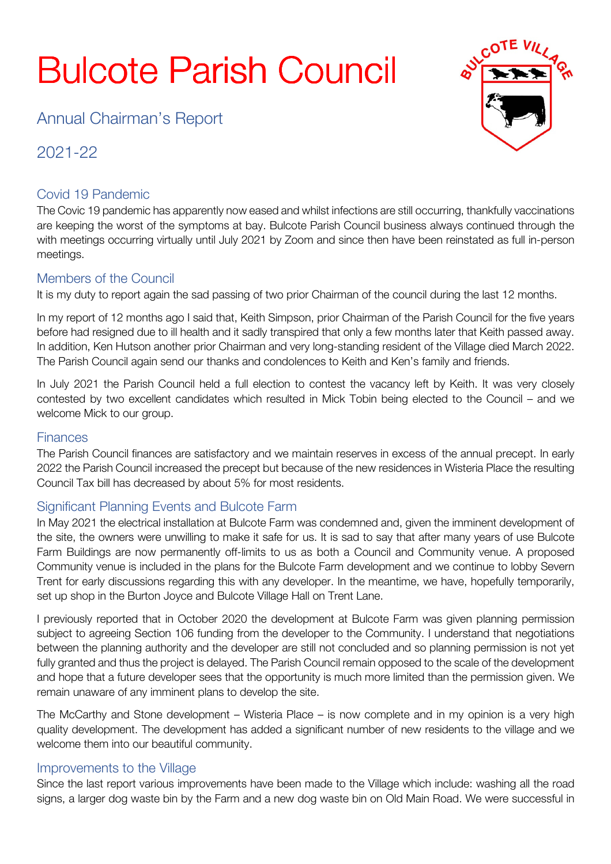# **Bulcote Parish Council**

Annual Chairman's Report

2021-22

# Covid 19 Pandemic

The Covic 19 pandemic has apparently now eased and whilst infections are still occurring, thankfully vaccinations are keeping the worst of the symptoms at bay. Bulcote Parish Council business always continued through the with meetings occurring virtually until July 2021 by Zoom and since then have been reinstated as full in-person meetings.

# Members of the Council

It is my duty to report again the sad passing of two prior Chairman of the council during the last 12 months.

In my report of 12 months ago I said that, Keith Simpson, prior Chairman of the Parish Council for the five years before had resigned due to ill health and it sadly transpired that only a few months later that Keith passed away. In addition, Ken Hutson another prior Chairman and very long-standing resident of the Village died March 2022. The Parish Council again send our thanks and condolences to Keith and Ken's family and friends.

In July 2021 the Parish Council held a full election to contest the vacancy left by Keith. It was very closely contested by two excellent candidates which resulted in Mick Tobin being elected to the Council – and we welcome Mick to our group.

#### **Finances**

The Parish Council finances are satisfactory and we maintain reserves in excess of the annual precept. In early 2022 the Parish Council increased the precept but because of the new residences in Wisteria Place the resulting Council Tax bill has decreased by about 5% for most residents.

## Significant Planning Events and Bulcote Farm

In May 2021 the electrical installation at Bulcote Farm was condemned and, given the imminent development of the site, the owners were unwilling to make it safe for us. It is sad to say that after many years of use Bulcote Farm Buildings are now permanently off-limits to us as both a Council and Community venue. A proposed Community venue is included in the plans for the Bulcote Farm development and we continue to lobby Severn Trent for early discussions regarding this with any developer. In the meantime, we have, hopefully temporarily, set up shop in the Burton Joyce and Bulcote Village Hall on Trent Lane.

I previously reported that in October 2020 the development at Bulcote Farm was given planning permission subject to agreeing Section 106 funding from the developer to the Community. I understand that negotiations between the planning authority and the developer are still not concluded and so planning permission is not yet fully granted and thus the project is delayed. The Parish Council remain opposed to the scale of the development and hope that a future developer sees that the opportunity is much more limited than the permission given. We remain unaware of any imminent plans to develop the site.

The McCarthy and Stone development – Wisteria Place – is now complete and in my opinion is a very high quality development. The development has added a significant number of new residents to the village and we welcome them into our beautiful community.

## Improvements to the Village

Since the last report various improvements have been made to the Village which include: washing all the road signs, a larger dog waste bin by the Farm and a new dog waste bin on Old Main Road. We were successful in